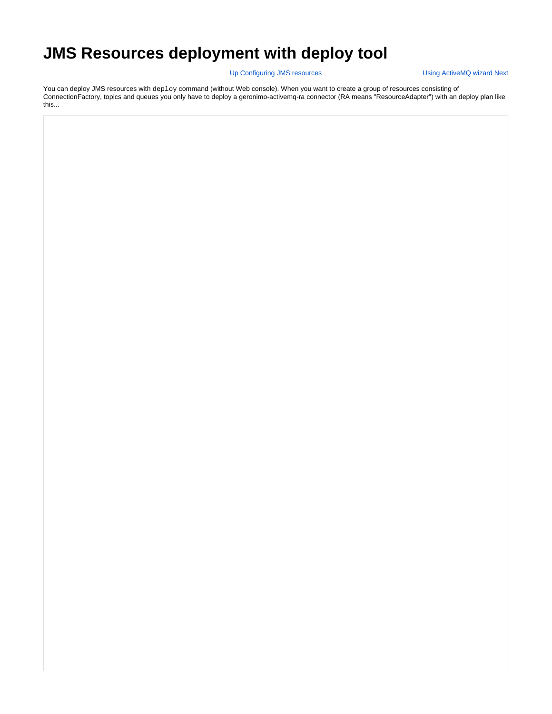## **JMS Resources deployment with deploy tool**

Up [Configuring JMS resources](https://cwiki.apache.org/confluence/display/GMOxDOC22/Configuring+JMS+resources) [Using ActiveMQ wizard](https://cwiki.apache.org/confluence/display/GMOxDOC22/Using+ActiveMQ+wizard) Next

You can deploy JMS resources with deploy command (without Web console). When you want to create a group of resources consisting of ConnectionFactory, topics and queues you only have to deploy a geronimo-activemq-ra connector (RA means "ResourceAdapter") with an deploy plan like this...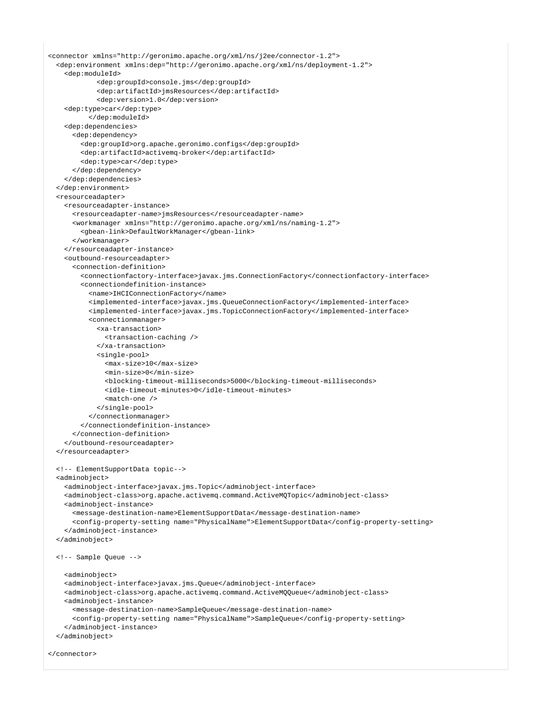```
<connector xmlns="http://geronimo.apache.org/xml/ns/j2ee/connector-1.2">
  <dep:environment xmlns:dep="http://geronimo.apache.org/xml/ns/deployment-1.2">
     <dep:moduleId>
             <dep:groupId>console.jms</dep:groupId>
             <dep:artifactId>jmsResources</dep:artifactId>
             <dep:version>1.0</dep:version>
     <dep:type>car</dep:type>
           </dep:moduleId>
     <dep:dependencies>
       <dep:dependency>
         <dep:groupId>org.apache.geronimo.configs</dep:groupId>
         <dep:artifactId>activemq-broker</dep:artifactId>
         <dep:type>car</dep:type>
       </dep:dependency>
     </dep:dependencies>
  </dep:environment>
  <resourceadapter>
     <resourceadapter-instance>
       <resourceadapter-name>jmsResources</resourceadapter-name>
       <workmanager xmlns="http://geronimo.apache.org/xml/ns/naming-1.2">
         <gbean-link>DefaultWorkManager</gbean-link>
       </workmanager>
     </resourceadapter-instance>
     <outbound-resourceadapter>
       <connection-definition>
         <connectionfactory-interface>javax.jms.ConnectionFactory</connectionfactory-interface>
         <connectiondefinition-instance>
           <name>IHCIConnectionFactory</name>
           <implemented-interface>javax.jms.QueueConnectionFactory</implemented-interface>
           <implemented-interface>javax.jms.TopicConnectionFactory</implemented-interface>
           <connectionmanager>
             <xa-transaction>
               <transaction-caching />
             </xa-transaction>
             <single-pool>
               <max-size>10</max-size>
               <min-size>0</min-size>
               <blocking-timeout-milliseconds>5000</blocking-timeout-milliseconds>
               <idle-timeout-minutes>0</idle-timeout-minutes>
               <match-one />
             </single-pool>
           </connectionmanager>
         </connectiondefinition-instance>
       </connection-definition>
     </outbound-resourceadapter>
  </resourceadapter>
  <!-- ElementSupportData topic-->
  <adminobject>
     <adminobject-interface>javax.jms.Topic</adminobject-interface>
     <adminobject-class>org.apache.activemq.command.ActiveMQTopic</adminobject-class>
     <adminobject-instance>
       <message-destination-name>ElementSupportData</message-destination-name>
       <config-property-setting name="PhysicalName">ElementSupportData</config-property-setting>
     </adminobject-instance>
  </adminobject>
  <!-- Sample Queue --> 
     <adminobject>
     <adminobject-interface>javax.jms.Queue</adminobject-interface>
     <adminobject-class>org.apache.activemq.command.ActiveMQQueue</adminobject-class>
     <adminobject-instance>
       <message-destination-name>SampleQueue</message-destination-name>
       <config-property-setting name="PhysicalName">SampleQueue</config-property-setting>
     </adminobject-instance>
   </adminobject>
</connector>
```